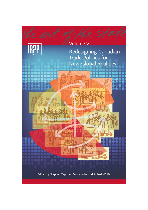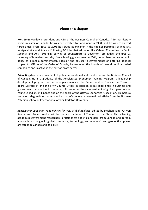# **About this chapter**

**Hon. John Manley** is president and CEO of the Business Council of Canada.. A former deputy prime minister of Canada, he was first elected to Parliament in 1988, and he was re-elected three times. From 1993 to 2003 he served as minister in the cabinet portfolios of industry, foreign affairs, and finance. Following 9/11, he chaired the Ad Hoc Cabinet Committee on Public Security and Anti-Terrorism, serving as counterpart to Governor Tom Ridge, the first US secretary of homeland security. Since leaving government in 2004, he has been active in public policy as a media commentator, speaker and adviser to governments of differing political stripes. An Officer of the Order of Canada, he serves on the boards of several publicly traded companies and is active in the not-for-profit sector.

**Brian Kingston** is vice president of policy, international and fiscal Issues at the Business Council of Canada. He is a graduate of the Accelerated Economist Training Program, a leadership development program that includes placements at the Department of Finance, the Treasury Board Secretariat and the Privy Council Office. In addition to his experience in business and government, he is active in the nonprofit sector as the vice-president of global operations at Young Canadians in Finance and on the board of the Ottawa Economics Association. He holds a bachelor's degree in economics and a master's degree in international affairs from the Norman Paterson School of International Affairs, Carleton University.

*Redesigning Canadian Trade Policies for New Global Realities*, edited by Stephen Tapp, Ari Van Assche and Robert Wolfe, will be the sixth volume of The Art of the State. Thirty leading academics, government researchers, practitioners and stakeholders, from Canada and abroad, analyze how changes in global commerce, technology, and economic and geopolitical power are affecting Canada and its policy.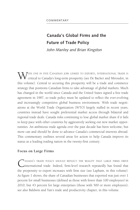# **Canada's Global Firms and the Future of Trade Policy**

*John Manley and Brian Kingston*

WITH ONE IN FIVE CANADIAN JOBS LINKED TO EXPORTS, INTERNATIONAL TRADE IS critical to Canada's long-term prosperity (see De Backer and Miroudot, in this volume). Central to securing this prosperity will be a trade and commerce strategy that positions Canadian firms to take advantage of global markets. Much has changed in the world since Canada and the United States signed a free trade agreement in 1987, so trade policy must be updated to reflect the ever-evolving and increasingly competitive global business environment. With trade negotiations at the World Trade Organization (WTO) largely stalled in recent years, countries instead have sought preferential market access through bilateral and regional trade deals. Canada risks continuing to lose global market share if it fails to keep pace with other countries by aggressively seeking out new market opportunities. An ambitious trade agenda over the past decade has been welcome, but more can and should be done to advance Canada's commercial interests abroad. This commentary outlines several areas for action to help Canada improve its status as a leading trading nation in the twenty-first century.

## **Focus on Large Firms**

CANADA'S TRADE POLICY SHOULD REFLECT THE REALITY THAT LARGE FIRMS DRIVE<br>international trade. Indeed, firm-level research repeatedly has found that the propensity to export increases with firm size (see Lapham, in this volume). As figure 1 shows, the share of Canadian businesses that exported was just over 1 percent for small businesses (defined as those with fewer than 100 employees) in 2010, but 43 percent for large enterprises (those with 500 or more employees); see also Baldwin and Yan's trade and productivity chapter, in this volume.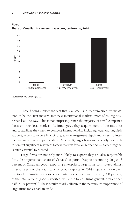

Figure 1 **Share of Canadian businesses that export, by firm size, 2010**

These findings reflect the fact that few small and medium-sized businesses tend to be the "first movers" into new international markets; most often, big businesses lead the way. This is not surprising, since the majority of small companies focus on their local markets. As firms grow, they acquire more of the resources and capabilities they need to compete internationally, including legal and linguistic support, access to export financing, greater management depth and access to international networks and partnerships. As a result, larger firms are generally more able to commit significant resources to new markets for a longer period — something that is often essential to succeed.

Large firms are not only more likely to export; they are also responsible for a disproportionate share of Canada's exports. Despite accounting for just 3 percent of Canadian goods-exporting enterprises, large firms contributed almost three-quarters of the total value of goods exports in 2014 (figure 2). Moreover, the top 10 Canadian exporters accounted for almost one quarter (24.8 percent) of the total value of goods exported, while the top 50 firms generated more than half (54.5 percent).<sup>1</sup> These results vividly illustrate the paramount importance of large firms for Canadian trade.

Source: Industry Canada (2012).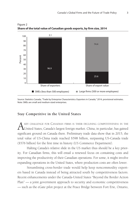

Figure 2 **Share of the total value of Canadian goods exports, by firm size, 2014**

Source: Statistics Canada, "Trade by Enterprise Characteristics: Exporters in Canada," 2014, provisional estimates. Note: SMEs are small and medium-sized enterprises.

## **Stay Competitive in the United States**

A KEY CHALLENGE FOR CANADIAN FIRMS IS THEIR DECLINING COMPETITIVENESS IN THE United States, Canada's largest foreign market. China, in particular, has gained significant ground on Canada there. Preliminary trade data show that in 2015, the total value of US-China trade reached \$598 billion, surpassing US-Canada trade (\$576 billion) for the first time in history (US Commerce Department).

Halting Canada's relative slide in the US market thus should be a key priority. For Canadian firms, this will entail a renewed focus on containing costs and improving the productivity of their Canadian operations. For some, it might involve expanding operations in the United States, where production costs are often lower.

Streamlining cross-border trade would help keep noncommodity exporters based in Canada instead of being attracted south by competitiveness factors. Recent enhancements under the Canada-United States "Beyond the Border Action Plan" — a joint government approach to security and economic competitiveness — such as the eGate pilot project at the Peace Bridge between Fort Erie, Ontario,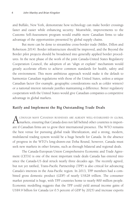and Buffalo, New York, demonstrate how technology can make border crossings faster and easier while enhancing security. Meanwhile, improvements to the Customs Self-Assessment program would enable more Canadian firms to take advantage of the opportunities presented by global supply chains.

But more can be done to streamline cross-border trade (Miller, Dillon and Robertson 2014). Border infrastructure should be improved, and the Beyond the Border pilot projects should be broadened into generally applied border procedures. In the next phase of the work of the joint Canada-United States Regulatory Cooperation Council, the adoption of an "align or explain" mechanism would greatly accelerate efforts to achieve common standards for health, safety and the environment. This more ambitious approach would make it the default to harmonize Canadian regulations with those of the United States, unless a unique Canadian factor (for example, geographic considerations such as colder winters) or a national interest rationale justifies maintaining a difference. Better regulatory cooperation with the United States would give Canadian companies a competitive advantage in global markets.

#### **Ratify and Implement the Big Outstanding Trade Deals**

A LTHOUGH MANY CANADIAN BUSINESSES ARE ALREADY WELL-ESTABLISHED IN GLOBAL<br>A markets, ensuring that Canada does not fall behind other countries is important if Canadian firms are to grow their international presence. The WTO remains the best venue for pursuing global trade liberalization, and a strong, modern, multilateral trading system would be a huge benefit for Canada. In the absence of progress in the WTO's long-drawn-out Doha Round, however, Canada must seek new markets in other forums, such as through bilateral and regional deals.

The Canada-European Union Comprehensive Economic and Trade Agreement (CETA) is one of the most important trade deals Canada has entered into since the Canada-US deal struck nearly three decades ago. The recently agreed, but not yet ratified, Trans-Pacific Partnership (TPP) is also critical for advancing Canada's interests in the Asia-Pacific region. In 2013, TPP members had a combined gross domestic product (GDP) of nearly US\$28 trillion. The consumer market potential is huge, with TPP countries home to nearly 800 million people. Economic modelling suggests that the TPP could yield annual income gains of US\$9.9 billion for Canada (or 0.5 percent of GDP by 2025) and increase exports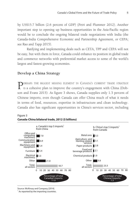by US\$15.7 billion (2.6 percent of GDP) (Petri and Plummer 2012). Another important step to opening up business opportunities in the Asia-Pacific region would be to conclude the ongoing bilateral trade negotiations with India (the Canada-India Comprehensive Economic and Partnership Agreement, or CEPA; see Rao and Tapp 2015).

Ratifying and implementing deals such as CETA, TPP and CEPA will not be easy, but with them in force, Canada could enhance its position in global trade and commerce networks with preferential market access to some of the world's largest and fastest-growing economies.

# **Develop a China Strategy**

PERHAPS THE BIGGEST MISSING ELEMENT IN CANADA'S CURRENT TRADE STRATEGY<br>Is a cohesive plan to improve the country's engagement with China (Dobson and Evans 2015). As figure 3 shows, Canada supplies only 1.3 percent of Chinese imports, even though Canada can offer China much of what it needs in terms of food, resources, expertise in infrastructure and clean technology. Canada also has significant opportunities in China's services sector, including



#### Figure 3 **Canada-China bilateral trade, 2012 (\$ billions)**

Source: McKinsey and Company (2014).

<sup>1</sup> As reported by the importing countries.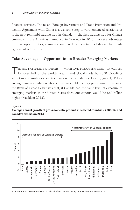financial services. The recent Foreign Investment and Trade Promotion and Protection Agreement with China is a welcome step toward enhanced relations, as is the new renminbi trading hub in Canada — the first trading hub for China's currency in the Americas, launched in Toronto in 2015. To take advantage of these opportunities, Canada should seek to negotiate a bilateral free trade agreement with China.

# **Take Advantage of Opportunities in Broader Emerging Markets**

THE SHARE OF EMERGING MARKETS — WHICH SOME FORECASTERS EXPECT TO ACCOUNT<br>for over half of the world's wealth and global trade by 2050 (Gowlings 2012) — in Canada's overall trade mix remains underdeveloped (figure 4). Rebalancing Canada's trading relationships thus could offer big payoffs — for instance, the Bank of Canada estimates that, if Canada had the same level of exposure to emerging markets as the United States does, our exports would be \$60 billion higher (Macklem 2013).

#### Figure 4 **Average annual growth of gross domestic product in selected countries, 2000-14, and Canada's exports in 2014**



Source: Authors' calculations based on Global Affairs Canada (2015); International Monetary (2015).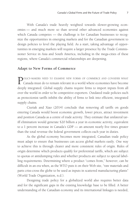With Canada's trade heavily weighted towards slower-growing economies — and much more so than several other advanced economies against which Canada competes — the challenge is for Canadian businesses to recognize the opportunities in emerging markets and for the Canadian government to design policies to level the playing field. As a start, taking advantage of opportunities in emerging markets will require a larger presence by the Trade Commissioner Service in Asia and South America, including in the mega-cities of these regions, where Canada's commercial relationships are deepening.

# **Adapt to New Forms of Commerce**

POLICY-MAKERS NEED TO EXAMINE NEW FORMS OF COMMERCE AND CONSIDER WHAT Canada must do to remain relevant in a world where economies have become deeply integrated. Global supply chains require firms to import inputs from all over the world in order to be competitive exporters. Outdated trade policies such as protectionist tariffs inhibit the ability of firms to link into efficient, integrated supply chains.

Ciuriak and Xiao (2014) conclude that removing all tariffs on goods entering Canada would boost economic growth, lower prices, attract investment and position Canada as a centre of trade activity. They estimate that unilateral tariff elimination would generate \$20 billion a year in economic activity, equivalent to a 1 percent increase in Canada's GDP — an amount nearly five times greater than the total revenue the federal government collects each year in duties.

As the global economy becomes more integrated, Canadian trade policy must adapt to ensure that businesses can access global markets easily. One way to achieve this is through clearer and more consistent rules of origin. Rules of origin determine which products qualify for preferential tariffs, which are subject to quotas or antidumping rules and whether products are subject to special labelling requirements. Determining where a product "comes from," however, can be difficult in an era when, as the WTO puts it on their Web site, "raw materials and parts criss-cross the globe to be used as inputs in scattered manufacturing plants" (World Trade Organization, n.d.).

Designing trade policy for a globalized world also requires better data and for the significant gaps in the existing knowledge base to be filled. A better understanding of the Canadian economy and its international linkages is needed,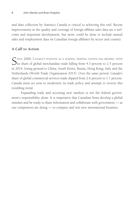and data collection by Statistics Canada is critical to achieving this end. Recent improvements in the quality and coverage of foreign affiliate sales data are a welcome and important development, but more could be done to include annual sales and employment data on Canadian foreign affiliates by sector and country.

# **A Call to Action**

SINCE 2000, CANADA'S POSITION AS A LEADING TRADING NATION HAS ERODED, WITH<br>its share of global merchandise trade falling from 4.3 percent to 2.5 percent in 2014, losing ground to China, South Korea, Russia, Hong Kong, Italy and the Netherlands (World Trade Organization 2015). Over the same period, Canada's share of global commercial services trade slipped from 2.6 percent to 1.7 percent. Canada must act now to modernize its trade policy and attempt to reverse this troubling trend.

Expanding trade and accessing new markets is not the federal government's responsibility alone. It is imperative that Canadian firms develop a global mindset and be ready to share information and collaborate with government — as our competitors are doing — to compete and win new international business.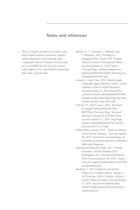# Notes and references

- 1. These 10 largest enterprises by export value had complex business structures, together representing about 220 declaring units. Comparable data for Canada's services trade are not available by firm size, but services trade might be less concentrated among large firms than is goods trade.
- Burney, D., T. d'Aquino, L. Edwards, and F. Hampson. 2012. *Winning in a Changing World*. Ottawa, ON: Norman Paterson School of International Affairs. Accessed January 21, 2016. https:// www.gowlings.com/knowledgecentre/ publicationPDFs/20120626\_Winning-in-a-Changing-World-EN.pdf
- Ciuriak, D., and J. Xiao. 2014. *Should Canada Unilaterally Adopt Global Free Trade?* Ottawa: Canadian Council of Chief Executives. Accessed January 21, 2016. http://www. ceocouncil.ca/wp-content/uploads/2014/05/ Should-Canada-unilaterally-adopt-free-trade-Ciuriak-and-Xiao-May-20141.pdf
- Dobson, W., and P. Evans. 2015. *The Future of Canada's Relationship with China*. IRPP Policy Horizons Essay. Montreal: Institute for Research on Public Policy. Accessed January 21, 2016. http://irpp. org/wp-content/uploads/2015/11/policyhorizons-2015-11-17.pdf
- Global Affairs Canada. 2015. "Trade Investment and Economic Statistics." Accessed January 28, 2016. http://www.international.gc.ca/ economist-economiste/statistics-statistiques/ index.aspx?lang=eng
- International Monetary Fund. 2015. "World Economic Outlook Database 2015." Washington, DC: International Monetary Fund Accessed January 28, 2016. https:// www.imf.org/external/pubs/ft/weo/2015/02/ weodata/index.asp
- Macklem, T. 2013. *Global Growth and the Prospects for Canada's Exports*. Speech to the Economic Club of Canada, October 1. Ottawa: Bank of Canada. Accessed January 21, 2016. http://www.bankofcanada. ca/2013/10/global-growth-and-prospectscanada-exports/